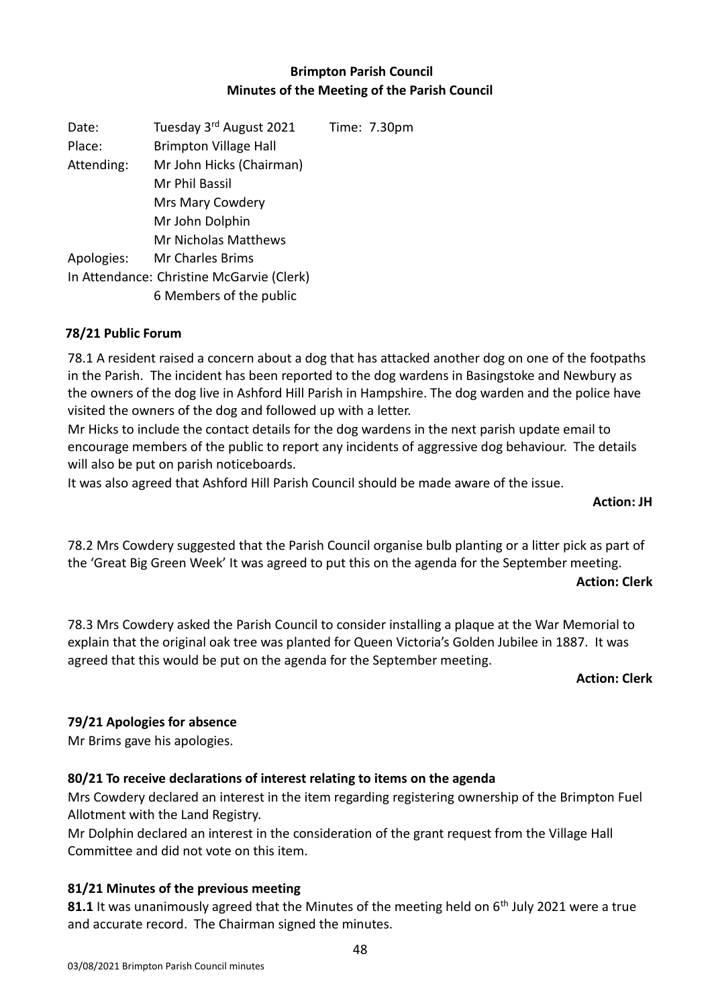### **Brimpton Parish Council Minutes of the Meeting of the Parish Council**

| Date:      | Tuesday 3rd August 2021                   | Time: 7.30pm |
|------------|-------------------------------------------|--------------|
| Place:     | <b>Brimpton Village Hall</b>              |              |
| Attending: | Mr John Hicks (Chairman)                  |              |
|            | Mr Phil Bassil                            |              |
|            | Mrs Mary Cowdery                          |              |
|            | Mr John Dolphin                           |              |
|            | <b>Mr Nicholas Matthews</b>               |              |
| Apologies: | <b>Mr Charles Brims</b>                   |              |
|            | In Attendance: Christine McGarvie (Clerk) |              |
|            | 6 Members of the public                   |              |

#### **78/21 Public Forum**

78.1 A resident raised a concern about a dog that has attacked another dog on one of the footpaths in the Parish. The incident has been reported to the dog wardens in Basingstoke and Newbury as the owners of the dog live in Ashford Hill Parish in Hampshire. The dog warden and the police have visited the owners of the dog and followed up with a letter.

Mr Hicks to include the contact details for the dog wardens in the next parish update email to encourage members of the public to report any incidents of aggressive dog behaviour. The details will also be put on parish noticeboards.

It was also agreed that Ashford Hill Parish Council should be made aware of the issue.

#### **Action: JH**

78.2 Mrs Cowdery suggested that the Parish Council organise bulb planting or a litter pick as part of the 'Great Big Green Week' It was agreed to put this on the agenda for the September meeting.

#### **Action: Clerk**

78.3 Mrs Cowdery asked the Parish Council to consider installing a plaque at the War Memorial to explain that the original oak tree was planted for Queen Victoria's Golden Jubilee in 1887. It was agreed that this would be put on the agenda for the September meeting.

#### **Action: Clerk**

#### **79/21 Apologies for absence**

Mr Brims gave his apologies.

#### **80/21 To receive declarations of interest relating to items on the agenda**

Mrs Cowdery declared an interest in the item regarding registering ownership of the Brimpton Fuel Allotment with the Land Registry.

Mr Dolphin declared an interest in the consideration of the grant request from the Village Hall Committee and did not vote on this item.

#### **81/21 Minutes of the previous meeting**

81.1 It was unanimously agreed that the Minutes of the meeting held on 6<sup>th</sup> July 2021 were a true and accurate record. The Chairman signed the minutes.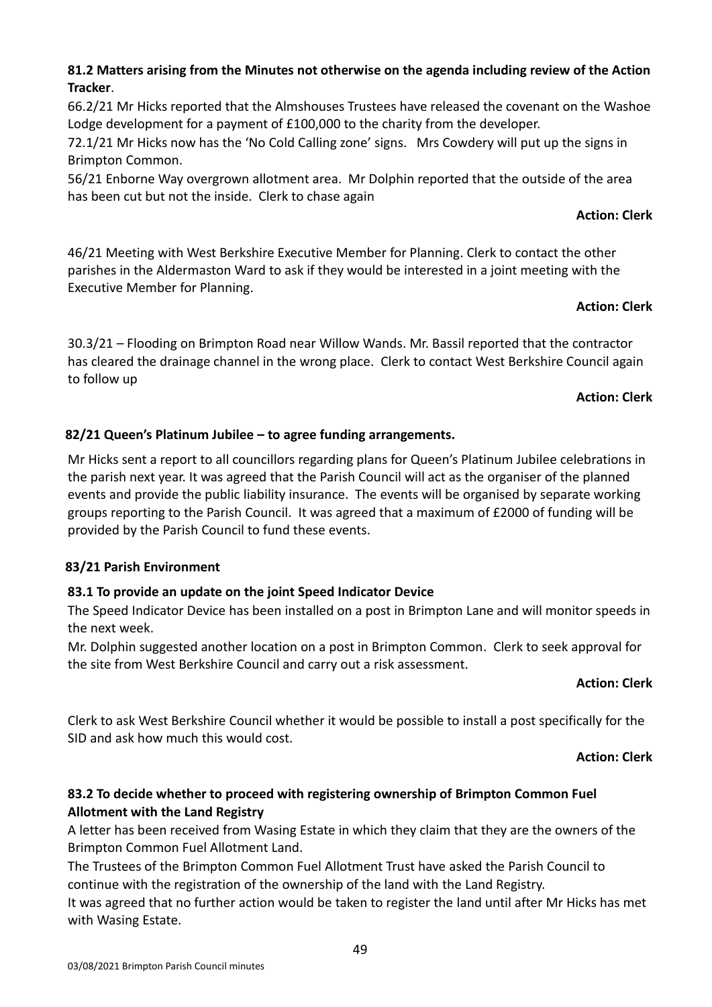#### **81.2 Matters arising from the Minutes not otherwise on the agenda including review of the Action Tracker**.

66.2/21 Mr Hicks reported that the Almshouses Trustees have released the covenant on the Washoe Lodge development for a payment of £100,000 to the charity from the developer.

72.1/21 Mr Hicks now has the 'No Cold Calling zone' signs. Mrs Cowdery will put up the signs in Brimpton Common.

56/21 Enborne Way overgrown allotment area. Mr Dolphin reported that the outside of the area has been cut but not the inside. Clerk to chase again

#### **Action: Clerk**

46/21 Meeting with West Berkshire Executive Member for Planning. Clerk to contact the other parishes in the Aldermaston Ward to ask if they would be interested in a joint meeting with the Executive Member for Planning.

### **Action: Clerk**

30.3/21 – Flooding on Brimpton Road near Willow Wands. Mr. Bassil reported that the contractor has cleared the drainage channel in the wrong place. Clerk to contact West Berkshire Council again to follow up

#### **Action: Clerk**

### **82/21 Queen's Platinum Jubilee – to agree funding arrangements.**

Mr Hicks sent a report to all councillors regarding plans for Queen's Platinum Jubilee celebrations in the parish next year. It was agreed that the Parish Council will act as the organiser of the planned events and provide the public liability insurance. The events will be organised by separate working groups reporting to the Parish Council. It was agreed that a maximum of £2000 of funding will be provided by the Parish Council to fund these events.

#### **83/21 Parish Environment**

#### **83.1 To provide an update on the joint Speed Indicator Device**

The Speed Indicator Device has been installed on a post in Brimpton Lane and will monitor speeds in the next week.

Mr. Dolphin suggested another location on a post in Brimpton Common. Clerk to seek approval for the site from West Berkshire Council and carry out a risk assessment.

#### **Action: Clerk**

Clerk to ask West Berkshire Council whether it would be possible to install a post specifically for the SID and ask how much this would cost.

#### **Action: Clerk**

### **83.2 To decide whether to proceed with registering ownership of Brimpton Common Fuel Allotment with the Land Registry**

A letter has been received from Wasing Estate in which they claim that they are the owners of the Brimpton Common Fuel Allotment Land.

The Trustees of the Brimpton Common Fuel Allotment Trust have asked the Parish Council to continue with the registration of the ownership of the land with the Land Registry.

It was agreed that no further action would be taken to register the land until after Mr Hicks has met with Wasing Estate.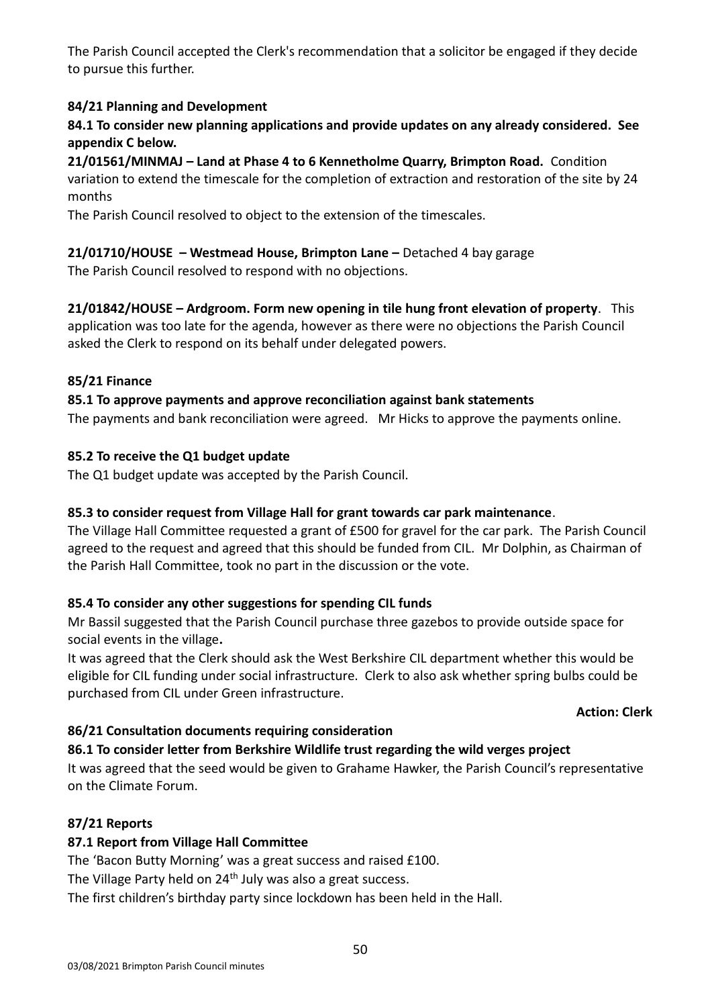The Parish Council accepted the Clerk's recommendation that a solicitor be engaged if they decide to pursue this further.

## **84/21 Planning and Development**

**84.1 To consider new planning applications and provide updates on any already considered. See appendix C below.**

**21/01561/MINMAJ – Land at Phase 4 to 6 Kennetholme Quarry, Brimpton Road.** Condition variation to extend the timescale for the completion of extraction and restoration of the site by 24 months

The Parish Council resolved to object to the extension of the timescales.

## **21/01710/HOUSE – Westmead House, Brimpton Lane –** Detached 4 bay garage

The Parish Council resolved to respond with no objections.

**21/01842/HOUSE – Ardgroom. Form new opening in tile hung front elevation of property**. This application was too late for the agenda, however as there were no objections the Parish Council asked the Clerk to respond on its behalf under delegated powers.

### **85/21 Finance**

### **85.1 To approve payments and approve reconciliation against bank statements**

The payments and bank reconciliation were agreed. Mr Hicks to approve the payments online.

### **85.2 To receive the Q1 budget update**

The Q1 budget update was accepted by the Parish Council.

#### **85.3 to consider request from Village Hall for grant towards car park maintenance**.

The Village Hall Committee requested a grant of £500 for gravel for the car park. The Parish Council agreed to the request and agreed that this should be funded from CIL. Mr Dolphin, as Chairman of the Parish Hall Committee, took no part in the discussion or the vote.

#### **85.4 To consider any other suggestions for spending CIL funds**

Mr Bassil suggested that the Parish Council purchase three gazebos to provide outside space for social events in the village**.**

It was agreed that the Clerk should ask the West Berkshire CIL department whether this would be eligible for CIL funding under social infrastructure. Clerk to also ask whether spring bulbs could be purchased from CIL under Green infrastructure.

#### **Action: Clerk**

## **86/21 Consultation documents requiring consideration**

#### **86.1 To consider letter from Berkshire Wildlife trust regarding the wild verges project**

It was agreed that the seed would be given to Grahame Hawker, the Parish Council's representative on the Climate Forum.

## **87/21 Reports**

## **87.1 Report from Village Hall Committee**

The 'Bacon Butty Morning' was a great success and raised £100.

The Village Party held on  $24<sup>th</sup>$  July was also a great success.

The first children's birthday party since lockdown has been held in the Hall.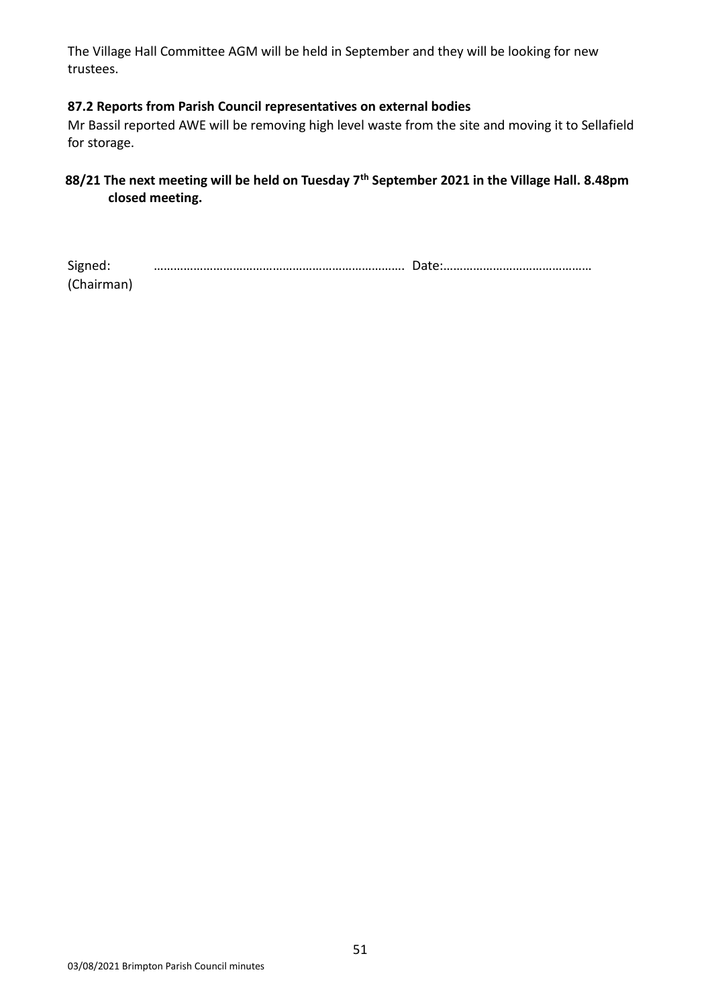The Village Hall Committee AGM will be held in September and they will be looking for new trustees.

#### **87.2 Reports from Parish Council representatives on external bodies**

Mr Bassil reported AWE will be removing high level waste from the site and moving it to Sellafield for storage.

## **88/21 The next meeting will be held on Tuesday 7th September 2021 in the Village Hall. 8.48pm closed meeting.**

| Signed:    |  |
|------------|--|
| (Chairman) |  |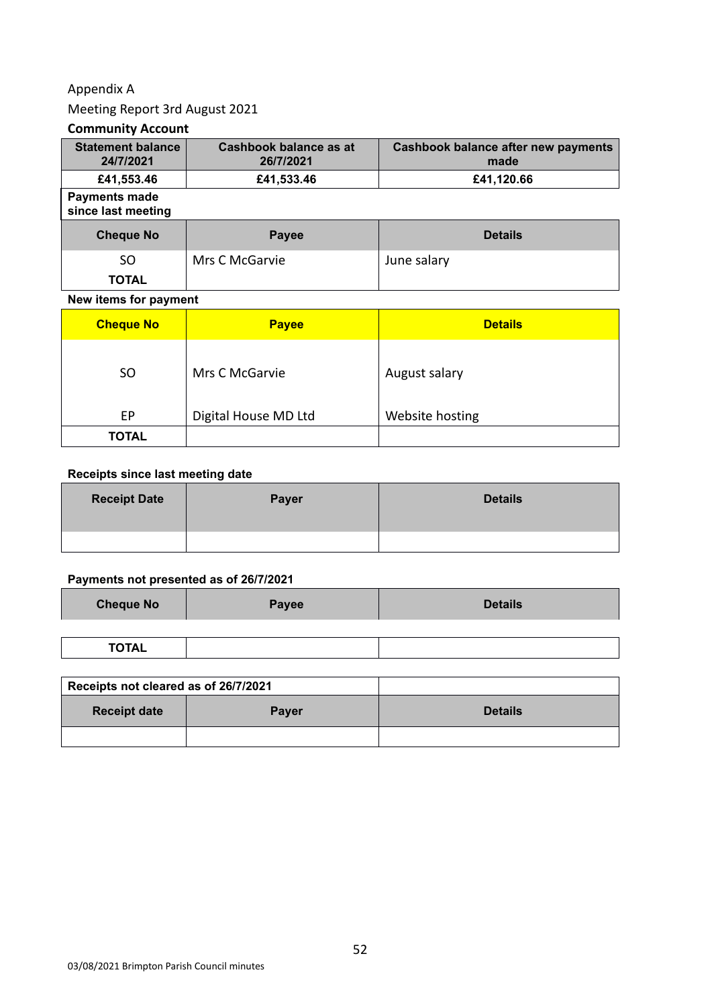### Appendix A

### Meeting Report 3rd August 2021

#### **Community Account**

| <b>Statement balance</b><br>24/7/2021      | Cashbook balance as at<br>26/7/2021 | <b>Cashbook balance after new payments</b><br>made |
|--------------------------------------------|-------------------------------------|----------------------------------------------------|
| £41,553.46                                 | £41,533.46                          | £41,120.66                                         |
| <b>Payments made</b><br>since last meeting |                                     |                                                    |
| <b>Cheque No</b>                           | Payee                               | <b>Details</b>                                     |
| SO.                                        | Mrs C McGarvie                      | June salary                                        |
| <b>TOTAL</b>                               |                                     |                                                    |

#### **New items for payment**

| <b>Cheque No</b> | <b>Payee</b>         | <b>Details</b>  |
|------------------|----------------------|-----------------|
| <b>SO</b>        | Mrs C McGarvie       | August salary   |
| EP               | Digital House MD Ltd | Website hosting |
| <b>TOTAL</b>     |                      |                 |

#### **Receipts since last meeting date**

| <b>Receipt Date</b> | Payer | <b>Details</b> |
|---------------------|-------|----------------|
|                     |       |                |

#### **Payments not presented as of 26/7/2021**

| <b>Cheque No</b> | Payee | <b>Details</b> |
|------------------|-------|----------------|
|                  |       |                |
| <b>TOTAL</b>     |       |                |

| Receipts not cleared as of 26/7/2021 |              |                |
|--------------------------------------|--------------|----------------|
| <b>Receipt date</b>                  | <b>Payer</b> | <b>Details</b> |
|                                      |              |                |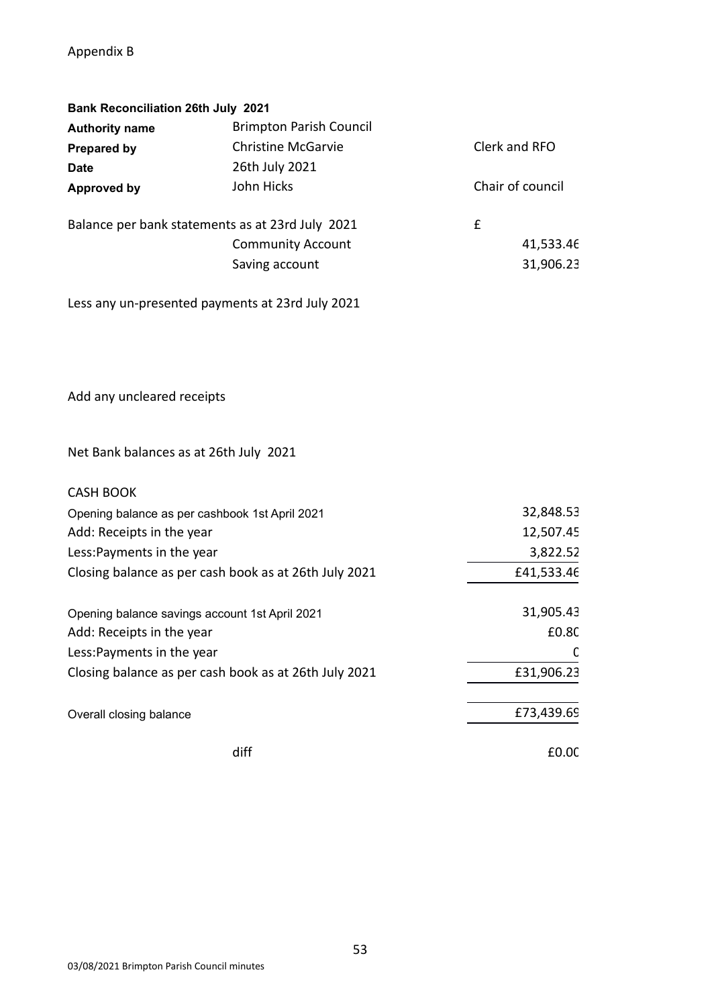### Appendix B

| <b>Bank Reconciliation 26th July 2021</b> |                                                  |                  |
|-------------------------------------------|--------------------------------------------------|------------------|
| <b>Authority name</b>                     | <b>Brimpton Parish Council</b>                   |                  |
| <b>Prepared by</b>                        | <b>Christine McGarvie</b>                        | Clerk and RFO    |
| <b>Date</b>                               | 26th July 2021                                   |                  |
| Approved by                               | John Hicks                                       | Chair of council |
|                                           | Balance per bank statements as at 23rd July 2021 | £                |
|                                           | <b>Community Account</b>                         | 41,533.46        |
|                                           | Saving account                                   | 31,906.23        |
|                                           |                                                  |                  |

Less any un-presented payments at 23rd July 2021

Add any uncleared receipts

## Net Bank balances as at 26th July 2021

| <b>CASH BOOK</b>                                      |            |
|-------------------------------------------------------|------------|
| Opening balance as per cashbook 1st April 2021        | 32,848.53  |
| Add: Receipts in the year                             | 12,507.45  |
| Less: Payments in the year                            | 3,822.52   |
| Closing balance as per cash book as at 26th July 2021 | £41,533.46 |
| Opening balance savings account 1st April 2021        | 31,905.43  |
| Add: Receipts in the year                             | £0.80      |
| Less: Payments in the year                            | C          |
| Closing balance as per cash book as at 26th July 2021 | £31,906.23 |
| Overall closing balance                               | £73,439.69 |
| diff                                                  | £0.00      |